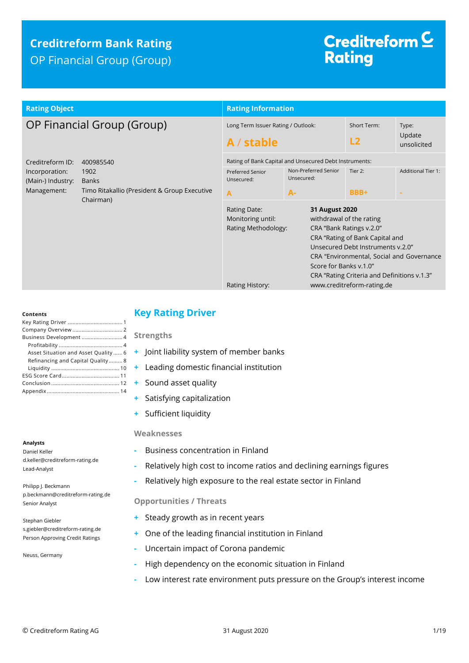## **Creditreform Bank Rating** OP Financial Group (Group)

# Creditreform<sup>C</sup> **Rating**

| <b>Rating Object</b>                                                                                                                                                     | <b>Rating Information</b>                                                                                                                                                                                                                                                                                                                                                         |                                                                                                           |                   |                                |
|--------------------------------------------------------------------------------------------------------------------------------------------------------------------------|-----------------------------------------------------------------------------------------------------------------------------------------------------------------------------------------------------------------------------------------------------------------------------------------------------------------------------------------------------------------------------------|-----------------------------------------------------------------------------------------------------------|-------------------|--------------------------------|
| OP Financial Group (Group)                                                                                                                                               | Long Term Issuer Rating / Outlook:<br>$A /$ stable                                                                                                                                                                                                                                                                                                                                |                                                                                                           | Short Term:<br>L2 | Type:<br>Update<br>unsolicited |
| Creditreform ID:<br>400985540<br>Incorporation:<br>1902<br>(Main-) Industry:<br><b>Banks</b><br>Management:<br>Timo Ritakallio (President & Group Executive<br>Chairman) | <b>Preferred Senior</b><br>Unsecured:<br>A                                                                                                                                                                                                                                                                                                                                        | Rating of Bank Capital and Unsecured Debt Instruments:<br>Non-Preferred Senior<br>Unsecured:<br><b>A-</b> | Tier 2:<br>BBB+   | <b>Additional Tier 1:</b>      |
|                                                                                                                                                                          | 31 August 2020<br>Rating Date:<br>withdrawal of the rating<br>Monitoring until:<br>Rating Methodology:<br>CRA "Bank Ratings v.2.0"<br>CRA "Rating of Bank Capital and<br>Unsecured Debt Instruments v.2.0"<br>CRA "Environmental, Social and Governance<br>Score for Banks v.1.0"<br>CRA "Rating Criteria and Definitions v.1.3"<br>www.creditreform-rating.de<br>Rating History: |                                                                                                           |                   |                                |

#### **Contents**

| Business Development 4               |  |
|--------------------------------------|--|
|                                      |  |
| Asset Situation and Asset Quality  6 |  |
| Refinancing and Capital Quality 8    |  |
|                                      |  |
|                                      |  |
|                                      |  |
|                                      |  |
|                                      |  |

## **Analysts**

Daniel Keller d.keller@creditreform-rating.de Lead-Analyst

Philipp J. Beckmann p.beckmann@creditreform-rating.de Senior Analyst

Stephan Giebler s.giebler@creditreform-rating.de Person Approving Credit Ratings

Neuss, Germany

## <span id="page-0-0"></span>**Key Rating Driver**

**Strengths**

- **+** Joint liability system of member banks
- **+** Leading domestic financial institution
- **+** Sound asset quality
- **+** Satisfying capitalization
- **+** Sufficient liquidity

#### **Weaknesses**

- **-** Business concentration in Finland
- **-** Relatively high cost to income ratios and declining earnings figures
- **-** Relatively high exposure to the real estate sector in Finland

### **Opportunities / Threats**

- **+** Steady growth as in recent years
- **+** One of the leading financial institution in Finland
- **-** Uncertain impact of Corona pandemic
- **-** High dependency on the economic situation in Finland
- <span id="page-0-1"></span>**-** Low interest rate environment puts pressure on the Group's interest income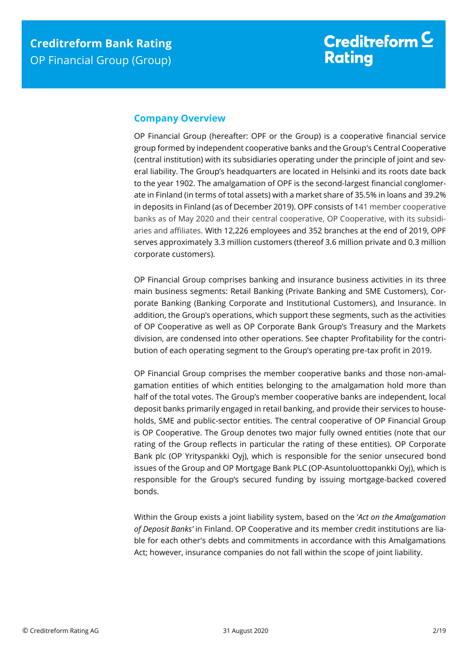## **Company Overview**

OP Financial Group (hereafter: OPF or the Group) is a cooperative financial service group formed by independent cooperative banks and the Group's Central Cooperative (central institution) with its subsidiaries operating under the principle of joint and several liability. The Group's headquarters are located in Helsinki and its roots date back to the year 1902. The amalgamation of OPF is the second-largest financial conglomerate in Finland (in terms of total assets) with a market share of 35.5% in loans and 39.2% in deposits in Finland (as of December 2019). OPF consists of 141 member cooperative banks as of May 2020 and their central cooperative, OP Cooperative, with its subsidiaries and affiliates. With 12,226 employees and 352 branches at the end of 2019, OPF serves approximately 3.3 million customers (thereof 3.6 million private and 0.3 million corporate customers).

OP Financial Group comprises banking and insurance business activities in its three main business segments: Retail Banking (Private Banking and SME Customers), Corporate Banking (Banking Corporate and Institutional Customers), and Insurance. In addition, the Group's operations, which support these segments, such as the activities of OP Cooperative as well as OP Corporate Bank Group's Treasury and the Markets division, are condensed into other operations. See chapter Profitability for the contribution of each operating segment to the Group's operating pre-tax profit in 2019.

OP Financial Group comprises the member cooperative banks and those non-amalgamation entities of which entities belonging to the amalgamation hold more than half of the total votes. The Group's member cooperative banks are independent, local deposit banks primarily engaged in retail banking, and provide their services to households, SME and public-sector entities. The central cooperative of OP Financial Group is OP Cooperative. The Group denotes two major fully owned entities (note that our rating of the Group reflects in particular the rating of these entities). OP Corporate Bank plc (OP Yrityspankki Oyj), which is responsible for the senior unsecured bond issues of the Group and OP Mortgage Bank PLC (OP-Asuntoluottopankki Oyj), which is responsible for the Group's secured funding by issuing mortgage-backed covered bonds.

Within the Group exists a joint liability system, based on the '*Act on the Amalgamation of Deposit Banks'* in Finland. OP Cooperative and its member credit institutions are liable for each other's debts and commitments in accordance with this Amalgamations Act; however, insurance companies do not fall within the scope of joint liability.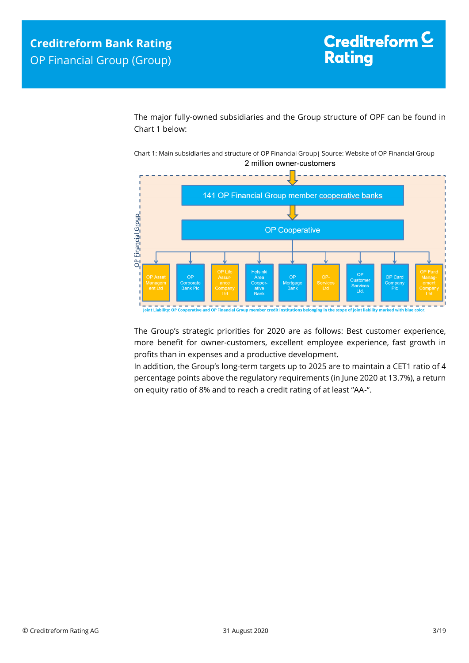The major fully-owned subsidiaries and the Group structure of OPF can be found in Chart 1 below:

Chart 1: Main subsidiaries and structure of OP Financial Group| Source: Website of OP Financial Group 2 million owner-customers



The Group's strategic priorities for 2020 are as follows: Best customer experience, more benefit for owner-customers, excellent employee experience, fast growth in profits than in expenses and a productive development.

In addition, the Group's long-term targets up to 2025 are to maintain a CET1 ratio of 4 percentage points above the regulatory requirements (in June 2020 at 13.7%), a return on equity ratio of 8% and to reach a credit rating of at least "AA-".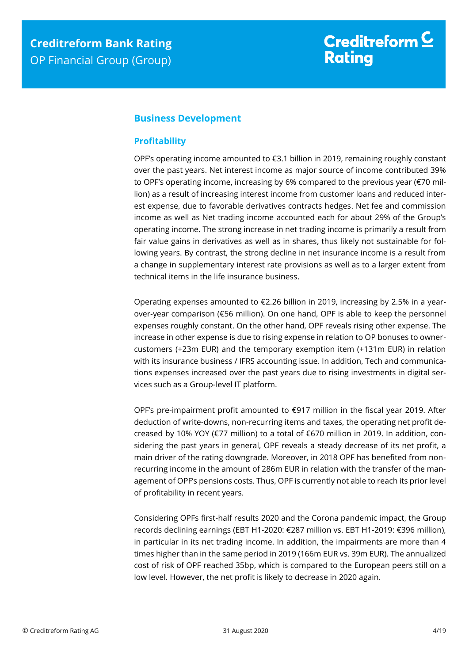## <span id="page-3-0"></span>**Business Development**

## <span id="page-3-1"></span>**Profitability**

OPF's operating income amounted to €3.1 billion in 2019, remaining roughly constant over the past years. Net interest income as major source of income contributed 39% to OPF's operating income, increasing by 6% compared to the previous year (€70 million) as a result of increasing interest income from customer loans and reduced interest expense, due to favorable derivatives contracts hedges. Net fee and commission income as well as Net trading income accounted each for about 29% of the Group's operating income. The strong increase in net trading income is primarily a result from fair value gains in derivatives as well as in shares, thus likely not sustainable for following years. By contrast, the strong decline in net insurance income is a result from a change in supplementary interest rate provisions as well as to a larger extent from technical items in the life insurance business.

Operating expenses amounted to €2.26 billion in 2019, increasing by 2.5% in a yearover-year comparison (€56 million). On one hand, OPF is able to keep the personnel expenses roughly constant. On the other hand, OPF reveals rising other expense. The increase in other expense is due to rising expense in relation to OP bonuses to ownercustomers (+23m EUR) and the temporary exemption item (+131m EUR) in relation with its insurance business / IFRS accounting issue. In addition, Tech and communications expenses increased over the past years due to rising investments in digital services such as a Group-level IT platform.

OPF's pre-impairment profit amounted to  $\epsilon$ 917 million in the fiscal year 2019. After deduction of write-downs, non-recurring items and taxes, the operating net profit decreased by 10% YOY (€77 million) to a total of €670 million in 2019. In addition, considering the past years in general, OPF reveals a steady decrease of its net profit, a main driver of the rating downgrade. Moreover, in 2018 OPF has benefited from nonrecurring income in the amount of 286m EUR in relation with the transfer of the management of OPF's pensions costs. Thus, OPF is currently not able to reach its prior level of profitability in recent years.

Considering OPFs first-half results 2020 and the Corona pandemic impact, the Group records declining earnings (EBT H1-2020: €287 million vs. EBT H1-2019: €396 million), in particular in its net trading income. In addition, the impairments are more than 4 times higher than in the same period in 2019 (166m EUR vs. 39m EUR). The annualized cost of risk of OPF reached 35bp, which is compared to the European peers still on a low level. However, the net profit is likely to decrease in 2020 again.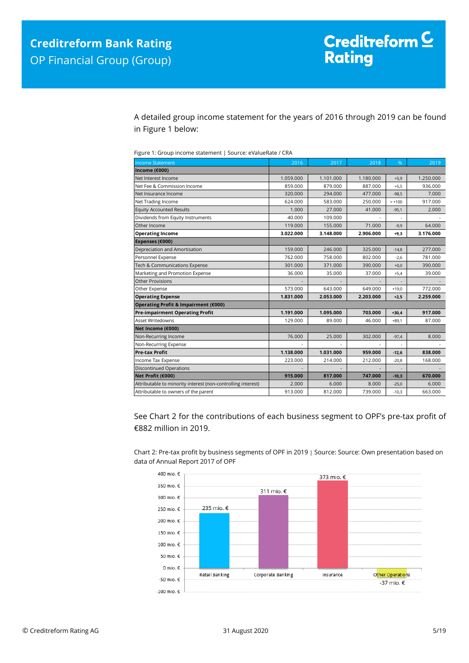A detailed group income statement for the years of 2016 through 2019 can be found in Figure 1 below:

Figure 1: Group income statement | Source: eValueRate / CRA

| <b>Income Statement</b>                                      | 2016      | 2017      | 2018      | %        | 2019      |
|--------------------------------------------------------------|-----------|-----------|-----------|----------|-----------|
| Income (€000)                                                |           |           |           |          |           |
| Net Interest Income                                          | 1.059.000 | 1.101.000 | 1.180.000 | $+5,9$   | 1.250.000 |
| Net Fee & Commission Income                                  | 859.000   | 879.000   | 887.000   | $+5,5$   | 936.000   |
| Net Insurance Income                                         | 320.000   | 294.000   | 477.000   | $-98,5$  | 7.000     |
| Net Trading Income                                           | 624.000   | 583.000   | 250.000   | $> +100$ | 917.000   |
| <b>Equity Accounted Results</b>                              | 1.000     | 27.000    | 41.000    | $-95,1$  | 2.000     |
| Dividends from Equity Instruments                            | 40.000    | 109.000   |           | ä,       |           |
| Other Income                                                 | 119,000   | 155.000   | 71.000    | $-9,9$   | 64.000    |
| <b>Operating Income</b>                                      | 3.022.000 | 3.148.000 | 2.906.000 | $+9,3$   | 3.176.000 |
| Expenses (€000)                                              |           |           |           |          |           |
| Depreciation and Amortisation                                | 159,000   | 246,000   | 325.000   | $-14,8$  | 277,000   |
| Personnel Expense                                            | 762.000   | 758.000   | 802.000   | $-2,6$   | 781.000   |
| Tech & Communications Expense                                | 301.000   | 371.000   | 390.000   | $+0,0$   | 390.000   |
| Marketing and Promotion Expense                              | 36.000    | 35.000    | 37.000    | $+5,4$   | 39.000    |
| Other Provisions                                             |           |           |           |          |           |
| Other Expense                                                | 573.000   | 643.000   | 649.000   | $+19,0$  | 772.000   |
| <b>Operating Expense</b>                                     | 1.831.000 | 2.053.000 | 2.203.000 | $+2,5$   | 2.259.000 |
| Operating Profit & Impairment (€000)                         |           |           |           |          |           |
| <b>Pre-impairment Operating Profit</b>                       | 1.191.000 | 1.095.000 | 703.000   | $+30,4$  | 917.000   |
| Asset Writedowns                                             | 129.000   | 89.000    | 46.000    | $+89,1$  | 87.000    |
| Net Income (€000)                                            |           |           |           |          |           |
| Non-Recurring Income                                         | 76.000    | 25.000    | 302.000   | $-97,4$  | 8.000     |
| Non-Recurring Expense                                        |           |           |           |          |           |
| <b>Pre-tax Profit</b>                                        | 1.138.000 | 1.031.000 | 959.000   | $-12,6$  | 838.000   |
| Income Tax Expense                                           | 223.000   | 214.000   | 212.000   | $-20,8$  | 168.000   |
| <b>Discontinued Operations</b>                               |           |           |           |          |           |
| Net Profit (€000)                                            | 915.000   | 817.000   | 747.000   | $-10,3$  | 670.000   |
| Attributable to minority interest (non-controlling interest) | 2.000     | 6.000     | 8.000     | $-25,0$  | 6.000     |
| Attributable to owners of the parent                         | 913.000   | 812.000   | 739.000   | $-10,3$  | 663.000   |

See Chart 2 for the contributions of each business segment to OPF's pre-tax profit of €882 million in 2019.

Chart 2: Pre-tax profit by business segments of OPF in 2019 | Source: Source: Own presentation based on data of Annual Report 2017 of OPF

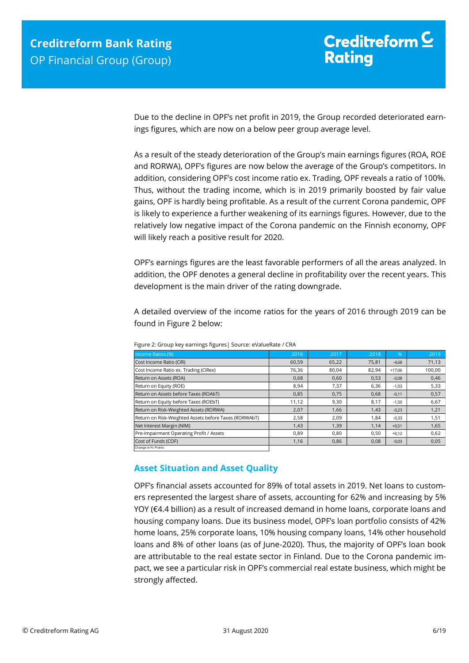Due to the decline in OPF's net profit in 2019, the Group recorded deteriorated earnings figures, which are now on a below peer group average level.

As a result of the steady deterioration of the Group's main earnings figures (ROA, ROE and RORWA), OPF's figures are now below the average of the Group's competitors. In addition, considering OPF's cost income ratio ex. Trading, OPF reveals a ratio of 100%. Thus, without the trading income, which is in 2019 primarily boosted by fair value gains, OPF is hardly being profitable. As a result of the current Corona pandemic, OPF is likely to experience a further weakening of its earnings figures. However, due to the relatively low negative impact of the Corona pandemic on the Finnish economy, OPF will likely reach a positive result for 2020.

OPF's earnings figures are the least favorable performers of all the areas analyzed. In addition, the OPF denotes a general decline in profitability over the recent years. This development is the main driver of the rating downgrade.

A detailed overview of the income ratios for the years of 2016 through 2019 can be found in Figure 2 below:

| Income Ratios (%)                                     | 2016  | 2017  | 2018  | $\sqrt{96}$ | 2019   |
|-------------------------------------------------------|-------|-------|-------|-------------|--------|
| Cost Income Ratio (CIR)                               | 60,59 | 65,22 | 75,81 | $-4,68$     | 71,13  |
| Cost Income Ratio ex. Trading (CIRex)                 | 76,36 | 80,04 | 82,94 | $+17,06$    | 100,00 |
| Return on Assets (ROA)                                | 0,68  | 0,60  | 0,53  | $-0,08$     | 0,46   |
| Return on Equity (ROE)                                | 8,94  | 7,37  | 6,36  | $-1,03$     | 5,33   |
| Return on Assets before Taxes (ROAbT)                 | 0,85  | 0.75  | 0.68  | $-0,11$     | 0,57   |
| Return on Equity before Taxes (ROEbT)                 | 11,12 | 9,30  | 8,17  | $-1,50$     | 6,67   |
| Return on Risk-Weighted Assets (RORWA)                | 2,07  | 1,66  | 1,43  | $-0,23$     | 1,21   |
| Return on Risk-Weighted Assets before Taxes (RORWAbT) | 2,58  | 2,09  | 1.84  | $-0,33$     | 1,51   |
| Net Interest Margin (NIM)                             | 1,43  | 1,39  | 1,14  | $+0,51$     | 1,65   |
| Pre-Impairment Operating Profit / Assets              | 0,89  | 0.80  | 0,50  | $+0,12$     | 0,62   |
| Cost of Funds (COF)                                   | 1,16  | 0,86  | 0,08  | $-0,03$     | 0,05   |
| Change in %- Points                                   |       |       |       |             |        |

Figure 2: Group key earnings figures| Source: eValueRate / CRA

## <span id="page-5-0"></span>**Asset Situation and Asset Quality**

OPF's financial assets accounted for 89% of total assets in 2019. Net loans to customers represented the largest share of assets, accounting for 62% and increasing by 5% YOY (€4.4 billion) as a result of increased demand in home loans, corporate loans and housing company loans. Due its business model, OPF's loan portfolio consists of 42% home loans, 25% corporate loans, 10% housing company loans, 14% other household loans and 8% of other loans (as of June-2020). Thus, the majority of OPF's loan book are attributable to the real estate sector in Finland. Due to the Corona pandemic impact, we see a particular risk in OPF's commercial real estate business, which might be strongly affected.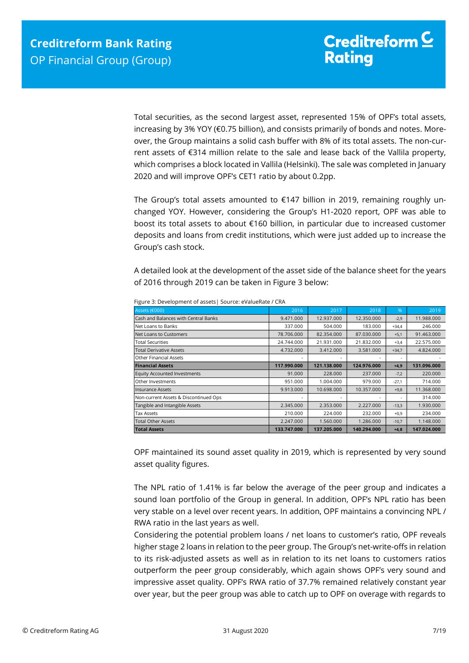Total securities, as the second largest asset, represented 15% of OPF's total assets, increasing by 3% YOY (€0.75 billion), and consists primarily of bonds and notes. Moreover, the Group maintains a solid cash buffer with 8% of its total assets. The non-current assets of €314 million relate to the sale and lease back of the Vallila property, which comprises a block located in Vallila (Helsinki). The sale was completed in January 2020 and will improve OPF's CET1 ratio by about 0.2pp.

The Group's total assets amounted to  $£147$  billion in 2019, remaining roughly unchanged YOY. However, considering the Group's H1-2020 report, OPF was able to boost its total assets to about €160 billion, in particular due to increased customer deposits and loans from credit institutions, which were just added up to increase the Group's cash stock.

A detailed look at the development of the asset side of the balance sheet for the years of 2016 through 2019 can be taken in Figure 3 below:

| Assets (€000)                         | 2016        | 2017        | 2018        | %       | 2019        |
|---------------------------------------|-------------|-------------|-------------|---------|-------------|
| Cash and Balances with Central Banks  | 9.471.000   | 12.937.000  | 12.350.000  | $-2,9$  | 11.988.000  |
| Net Loans to Banks                    | 337.000     | 504.000     | 183.000     | $+34,4$ | 246.000     |
| Net Loans to Customers                | 78.706.000  | 82.354.000  | 87.030.000  | $+5,1$  | 91.463.000  |
| <b>Total Securities</b>               | 24.744.000  | 21.931.000  | 21.832.000  | $+3,4$  | 22.575.000  |
| <b>Total Derivative Assets</b>        | 4.732.000   | 3.412.000   | 3.581.000   | $+34,7$ | 4.824.000   |
| <b>Other Financial Assets</b>         |             |             |             | ٠       |             |
| <b>Financial Assets</b>               | 117.990.000 | 121.138.000 | 124.976.000 | $+4,9$  | 131.096.000 |
| <b>Equity Accounted Investments</b>   | 91.000      | 228,000     | 237,000     | $-7,2$  | 220,000     |
| Other Investments                     | 951.000     | 1.004.000   | 979.000     | $-27,1$ | 714.000     |
| <b>Insurance Assets</b>               | 9.913.000   | 10.698.000  | 10.357.000  | $+9,8$  | 11.368.000  |
| Non-current Assets & Discontinued Ops |             |             |             | ۰       | 314.000     |
| Tangible and Intangible Assets        | 2.345.000   | 2.353.000   | 2.227.000   | $-13,3$ | 1.930.000   |
| <b>Tax Assets</b>                     | 210.000     | 224.000     | 232.000     | $+0,9$  | 234.000     |
| <b>Total Other Assets</b>             | 2.247.000   | 1.560.000   | 1.286.000   | $-10,7$ | 1.148.000   |
| <b>Total Assets</b>                   | 133.747.000 | 137.205.000 | 140.294.000 | $+4,8$  | 147.024.000 |

Figure 3: Development of assets| Source: eValueRate / CRA

OPF maintained its sound asset quality in 2019, which is represented by very sound asset quality figures.

The NPL ratio of 1.41% is far below the average of the peer group and indicates a sound loan portfolio of the Group in general. In addition, OPF's NPL ratio has been very stable on a level over recent years. In addition, OPF maintains a convincing NPL / RWA ratio in the last years as well.

Considering the potential problem loans / net loans to customer's ratio, OPF reveals higher stage 2 loans in relation to the peer group. The Group's net-write-offs in relation to its risk-adjusted assets as well as in relation to its net loans to customers ratios outperform the peer group considerably, which again shows OPF's very sound and impressive asset quality. OPF's RWA ratio of 37.7% remained relatively constant year over year, but the peer group was able to catch up to OPF on overage with regards to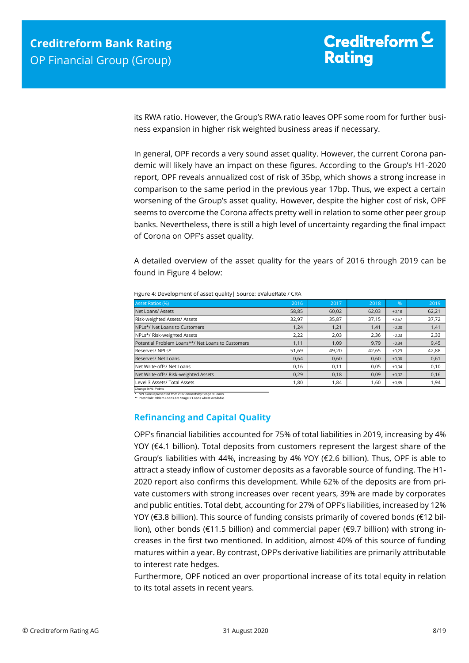its RWA ratio. However, the Group's RWA ratio leaves OPF some room for further business expansion in higher risk weighted business areas if necessary.

In general, OPF records a very sound asset quality. However, the current Corona pandemic will likely have an impact on these figures. According to the Group's H1-2020 report, OPF reveals annualized cost of risk of 35bp, which shows a strong increase in comparison to the same period in the previous year 17bp. Thus, we expect a certain worsening of the Group's asset quality. However, despite the higher cost of risk, OPF seems to overcome the Corona affects pretty well in relation to some other peer group banks. Nevertheless, there is still a high level of uncertainty regarding the final impact of Corona on OPF's asset quality.

A detailed overview of the asset quality for the years of 2016 through 2019 can be found in Figure 4 below:

| <b>Asset Ratios (%)</b>                           | 2016  | 2017  | 2018  | $\frac{9}{6}$ | 2019  |
|---------------------------------------------------|-------|-------|-------|---------------|-------|
| Net Loans/ Assets                                 | 58,85 | 60.02 | 62,03 | $+0,18$       | 62,21 |
| Risk-weighted Assets/ Assets                      | 32,97 | 35,87 | 37,15 | $+0,57$       | 37,72 |
| NPLs*/ Net Loans to Customers                     | 1,24  | 1,21  | 1,41  | $-0,00$       | 1,41  |
| NPLs*/ Risk-weighted Assets                       | 2,22  | 2,03  | 2,36  | $-0,03$       | 2,33  |
| Potential Problem Loans**/ Net Loans to Customers | 1,11  | 1,09  | 9,79  | $-0,34$       | 9,45  |
| Reserves/NPLs*                                    | 51,69 | 49.20 | 42,65 | $+0,23$       | 42,88 |
| Reserves/ Net Loans                               | 0.64  | 0,60  | 0,60  | $+0,00$       | 0,61  |
| Net Write-offs/ Net Loans                         | 0,16  | 0,11  | 0,05  | $+0.04$       | 0,10  |
| Net Write-offs/ Risk-weighted Assets              | 0,29  | 0,18  | 0,09  | $+0,07$       | 0,16  |
| Level 3 Assets/ Total Assets                      | 1,80  | 1,84  | 1,60  | $+0,35$       | 1,94  |
| Change in %- Points                               |       |       |       |               |       |

Figure 4: Development of asset quality| Source: eValueRate / CRA

\* NPLs are represented from 2017 onwards by Stage 3 Loans. \*\* Potential Problem Loans are Stage 2 Loans where available.

## <span id="page-7-0"></span>**Refinancing and Capital Quality**

OPF's financial liabilities accounted for 75% of total liabilities in 2019, increasing by 4% YOY (€4.1 billion). Total deposits from customers represent the largest share of the Group's liabilities with 44%, increasing by 4% YOY (€2.6 billion). Thus, OPF is able to attract a steady inflow of customer deposits as a favorable source of funding. The H1- 2020 report also confirms this development. While 62% of the deposits are from private customers with strong increases over recent years, 39% are made by corporates and public entities. Total debt, accounting for 27% of OPF's liabilities, increased by 12% YOY (€3.8 billion). This source of funding consists primarily of covered bonds (€12 billion), other bonds (€11.5 billion) and commercial paper (€9.7 billion) with strong increases in the first two mentioned. In addition, almost 40% of this source of funding matures within a year. By contrast, OPF's derivative liabilities are primarily attributable to interest rate hedges.

Furthermore, OPF noticed an over proportional increase of its total equity in relation to its total assets in recent years.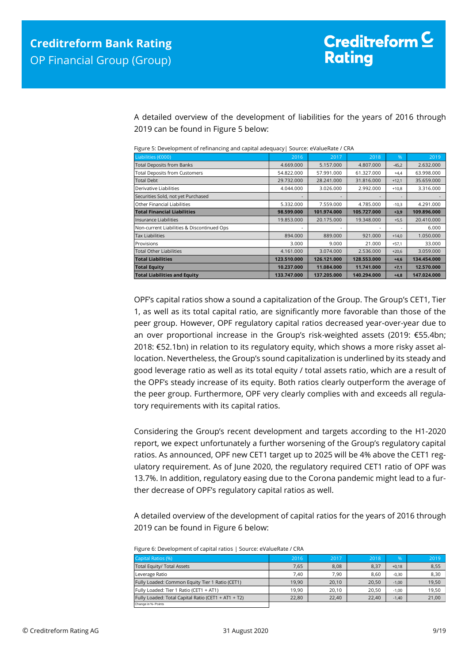A detailed overview of the development of liabilities for the years of 2016 through 2019 can be found in Figure 5 below:

| Liabilities (€000)                         | 2016        | 2017        | 2018        | %       | 2019        |
|--------------------------------------------|-------------|-------------|-------------|---------|-------------|
| <b>Total Deposits from Banks</b>           | 4.669.000   | 5.157.000   | 4.807.000   | $-45,2$ | 2.632.000   |
| <b>Total Deposits from Customers</b>       | 54.822.000  | 57.991.000  | 61.327.000  | $+4,4$  | 63.998.000  |
| <b>Total Debt</b>                          | 29.732.000  | 28.241.000  | 31.816.000  | $+12,1$ | 35.659.000  |
| Derivative Liabilities                     | 4.044.000   | 3.026.000   | 2.992.000   | $+10,8$ | 3.316.000   |
| Securities Sold, not yet Purchased         |             |             |             | ۰       |             |
| Other Financial Liabilities                | 5.332.000   | 7.559.000   | 4.785.000   | $-10,3$ | 4.291.000   |
| <b>Total Financial Liabilities</b>         | 98.599.000  | 101.974.000 | 105.727.000 | $+3,9$  | 109.896.000 |
| Insurance Liabilities                      | 19.853.000  | 20.175.000  | 19.348.000  | $+5,5$  | 20.410.000  |
| Non-current Liabilities & Discontinued Ops |             |             |             |         | 6.000       |
| <b>Tax Liabilities</b>                     | 894.000     | 889,000     | 921.000     | $+14,0$ | 1.050.000   |
| Provisions                                 | 3.000       | 9.000       | 21.000      | $+57,1$ | 33.000      |
| <b>Total Other Liabilities</b>             | 4.161.000   | 3.074.000   | 2.536.000   | $+20,6$ | 3.059.000   |
| <b>Total Liabilities</b>                   | 123.510.000 | 126.121.000 | 128.553.000 | $+4,6$  | 134.454.000 |
| <b>Total Equity</b>                        | 10.237.000  | 11.084.000  | 11.741.000  | $+7,1$  | 12.570.000  |
| <b>Total Liabilities and Equity</b>        | 133.747.000 | 137.205.000 | 140.294.000 | $+4,8$  | 147.024.000 |

Figure 5: Development of refinancing and capital adequacy| Source: eValueRate / CRA

OPF's capital ratios show a sound a capitalization of the Group. The Group's CET1, Tier 1, as well as its total capital ratio, are significantly more favorable than those of the peer group. However, OPF regulatory capital ratios decreased year-over-year due to an over proportional increase in the Group's risk-weighted assets (2019: €55.4bn; 2018: €52.1bn) in relation to its regulatory equity, which shows a more risky asset allocation. Nevertheless, the Group's sound capitalization is underlined by its steady and good leverage ratio as well as its total equity / total assets ratio, which are a result of the OPF's steady increase of its equity. Both ratios clearly outperform the average of the peer group. Furthermore, OPF very clearly complies with and exceeds all regulatory requirements with its capital ratios.

Considering the Group's recent development and targets according to the H1-2020 report, we expect unfortunately a further worsening of the Group's regulatory capital ratios. As announced, OPF new CET1 target up to 2025 will be 4% above the CET1 regulatory requirement. As of June 2020, the regulatory required CET1 ratio of OPF was 13.7%. In addition, regulatory easing due to the Corona pandemic might lead to a further decrease of OPF's regulatory capital ratios as well.

A detailed overview of the development of capital ratios for the years of 2016 through 2019 can be found in Figure 6 below:

| Figure 6: Development of capital ratios   Source: eValueRate / CRA |  |
|--------------------------------------------------------------------|--|
|--------------------------------------------------------------------|--|

| Capital Ratios (%)                                  | 2016  | 2017  | 2018  | %       | 2019  |
|-----------------------------------------------------|-------|-------|-------|---------|-------|
| Total Equity/ Total Assets                          | 7.65  | 8,08  | 8,37  | $+0.18$ | 8,55  |
| Leverage Ratio                                      | 7.40  | 7.90  | 8.60  | $-0.30$ | 8,30  |
| Fully Loaded: Common Equity Tier 1 Ratio (CET1)     | 19.90 | 20,10 | 20.50 | $-1.00$ | 19,50 |
| Fully Loaded: Tier 1 Ratio (CET1 + AT1)             | 19.90 | 20,10 | 20.50 | $-1.00$ | 19,50 |
| Fully Loaded: Total Capital Ratio (CET1 + AT1 + T2) | 22,80 | 22,40 | 22.40 | $-1.40$ | 21,00 |
| Change in %- Points                                 |       |       |       |         |       |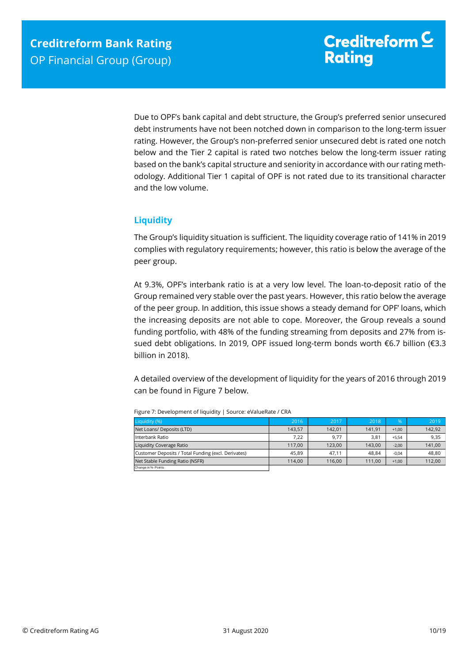Due to OPF's bank capital and debt structure, the Group's preferred senior unsecured debt instruments have not been notched down in comparison to the long-term issuer rating. However, the Group's non-preferred senior unsecured debt is rated one notch below and the Tier 2 capital is rated two notches below the long-term issuer rating based on the bank's capital structure and seniority in accordance with our rating methodology. Additional Tier 1 capital of OPF is not rated due to its transitional character and the low volume.

## <span id="page-9-0"></span>**Liquidity**

The Group's liquidity situation is sufficient. The liquidity coverage ratio of 141% in 2019 complies with regulatory requirements; however, this ratio is below the average of the peer group.

At 9.3%, OPF's interbank ratio is at a very low level. The loan-to-deposit ratio of the Group remained very stable over the past years. However, this ratio below the average of the peer group. In addition, this issue shows a steady demand for OPF' loans, which the increasing deposits are not able to cope. Moreover, the Group reveals a sound funding portfolio, with 48% of the funding streaming from deposits and 27% from issued debt obligations. In 2019, OPF issued long-term bonds worth €6.7 billion (€3.3 billion in 2018).

A detailed overview of the development of liquidity for the years of 2016 through 2019 can be found in Figure 7 below.

| Liquidity (%)                                       | 2016   | 2017   | 2018   | $\frac{9}{6}$ | 2019   |
|-----------------------------------------------------|--------|--------|--------|---------------|--------|
| Net Loans/ Deposits (LTD)                           | 143.57 | 142.01 | 141,91 | $+1.00$       | 142,92 |
| Interbank Ratio                                     | 7.22   | 9,77   | 3,81   | $+5.54$       | 9,35   |
| Liquidity Coverage Ratio                            | 117.00 | 123.00 | 143.00 | $-2.00$       | 141,00 |
| Customer Deposits / Total Funding (excl. Derivates) | 45.89  | 47.11  | 48.84  | $-0.04$       | 48,80  |
| Net Stable Funding Ratio (NSFR)                     | 114.00 | 116.00 | 111.00 | $+1.00$       | 112,00 |
| Change in %- Points                                 |        |        |        |               |        |

Figure 7: Development of liquidity | Source: eValueRate / CRA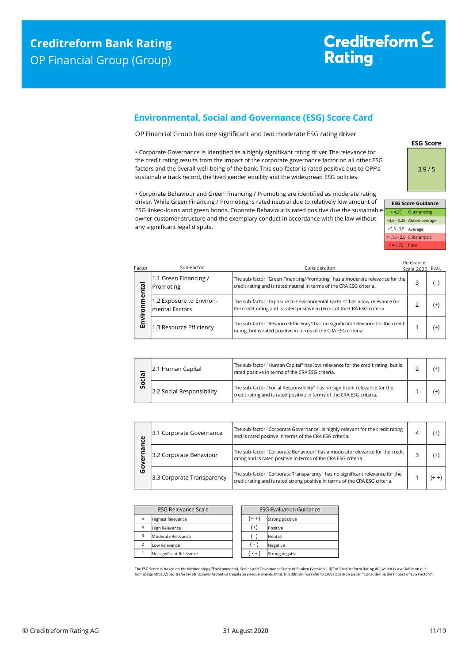# Creditreform<sup>C</sup> **Rating**

## <span id="page-10-0"></span>**Environmental, Social and Governance (ESG) Score Card**

OP Financial Group has one significant and two moderate ESG rating driver

• Corporate Governance is identified as a highly signifikant rating driver.The relevance for the credit rating results from the impact of the corporate governance factor on all other ESG factors and the overall well-being of the bank. This sub-factor is rated positive due to OPF's sustainable track record, the lived gender equility and the widespread ESG policies.

• Corporate Behaviour and Green Financing / Promoting are identified as moderate rating driver. While Green Financing / Promoting is rated neutral due to relatively low amount of ESG linked-loans and green bonds, Coporate Behaviour is rated positive due the sustainable owner-customer structure and the exemplary conduct in accordance with the law without any siginificant legal disputs.

**ESG Score** 3,9 / 5

|   |                    | <b>ESG Score Guidance</b> |
|---|--------------------|---------------------------|
| e |                    | > 4,25 Outstanding        |
|   |                    | >3,5 - 4,25 Above-average |
|   | >2,5 - 3,5 Average |                           |
|   |                    | >1,75 - 2,5 Substandard   |
|   | $\le$ = 1.75 Poor  |                           |

| Factor    | Sub-Factor                                 | Consideration                                                                                                                                           | Relevance<br>Scale 2020 Eval. |          |
|-----------|--------------------------------------------|---------------------------------------------------------------------------------------------------------------------------------------------------------|-------------------------------|----------|
| ntal      | 1.1 Green Financing /<br>Promoting         | The sub-factor "Green Financing/Promoting" has a moderate relevance for the<br>credit rating and is rated neutral in terms of the CRA ESG criteria.     |                               |          |
| nmer<br>ā | 1.2 Exposure to Environ-<br>mental Factors | The sub-factor "Exposure to Environmental Factors" has a low relevance for<br>the credit rating and is rated positive in terms of the CRA ESG criteria. |                               | $^{(+)}$ |
| Envi      | 1.3 Resource Efficiency                    | The sub-factor "Resource Efficiency" has no significant relevance for the credit<br>rating, but is rated positive in terms of the CRA ESG criteria.     |                               | $^{(+)}$ |

| <u>히</u><br>ο<br>Ū | 2.1 Human Capital         | The sub-factor "Human Capital" has low relevance for the credit rating, but is<br>rated positive in terms of the CRA ESG criteria.                   |  |
|--------------------|---------------------------|------------------------------------------------------------------------------------------------------------------------------------------------------|--|
|                    | 2.2 Social Responsibility | The sub-factor "Social Responsibility" has no significant relevance for the<br>credit rating and is rated positive in terms of the CRA ESG criteria. |  |

| ω | 3.1 Corporate Governance   | The sub-factor "Corporate Governance" is highly relevant for the credit rating<br>and is rated positive in terms of the CRA ESG criteria.                    | (+    |
|---|----------------------------|--------------------------------------------------------------------------------------------------------------------------------------------------------------|-------|
|   | 3.2 Corporate Behaviour    | The sub-factor "Corporate Behaviour" has a moderate relevance for the credit<br>rating and is rated positive in terms of the CRA ESG criteria.               | (+    |
| O | 3.3 Corporate Transparency | The sub-factor "Corporate Transparency" has no significant relevance for the<br>credit rating and is rated strong positive in terms of the CRA ESG criteria. | (+ +) |

| <b>ESG Relevance Scale</b> |                          | <b>ESG Evaluation Guidance</b> |                 |
|----------------------------|--------------------------|--------------------------------|-----------------|
|                            | <b>Highest Relevance</b> | $(+ +)$                        | Strong positive |
| $\overline{4}$             | <b>High Relevance</b>    | $^{(+)}$                       | Positive        |
| 3                          | Moderate Relevance       |                                | Neutral         |
| $\overline{\phantom{0}}$   | Low Relevance            | $(-)$                          | Negative        |
|                            | No significant Relevance |                                | Strong negativ  |

The ESG Score is based on the Methodology "Environmental, Social and Governance Score of Banken (Version 1.0)" of Creditreform Rating AG, which is available on our<br>homepage https://creditreform-rating.de/en/about-us/regula homepage https://creditreform-rating.de/en/about-us/regulatory-requirements.html. In addition, we refer to CRA's position paper "Conso<br>epage https://creditreform-rating.de/en/about-us/regulatory-requirements.html. In addit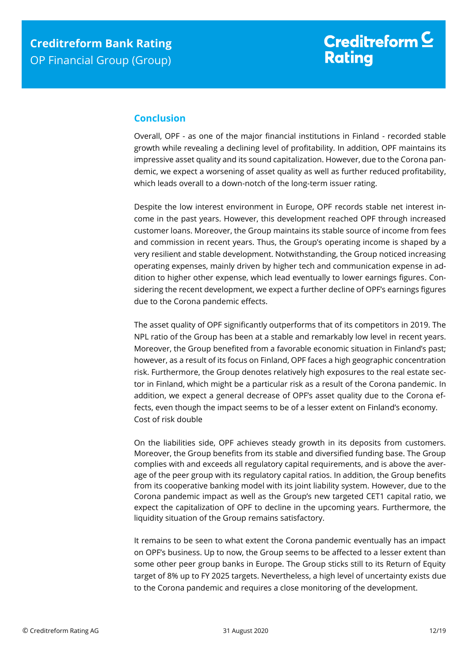## <span id="page-11-0"></span>**Conclusion**

Overall, OPF - as one of the major financial institutions in Finland - recorded stable growth while revealing a declining level of profitability. In addition, OPF maintains its impressive asset quality and its sound capitalization. However, due to the Corona pandemic, we expect a worsening of asset quality as well as further reduced profitability, which leads overall to a down-notch of the long-term issuer rating.

Despite the low interest environment in Europe, OPF records stable net interest income in the past years. However, this development reached OPF through increased customer loans. Moreover, the Group maintains its stable source of income from fees and commission in recent years. Thus, the Group's operating income is shaped by a very resilient and stable development. Notwithstanding, the Group noticed increasing operating expenses, mainly driven by higher tech and communication expense in addition to higher other expense, which lead eventually to lower earnings figures. Considering the recent development, we expect a further decline of OPF's earnings figures due to the Corona pandemic effects.

The asset quality of OPF significantly outperforms that of its competitors in 2019. The NPL ratio of the Group has been at a stable and remarkably low level in recent years. Moreover, the Group benefited from a favorable economic situation in Finland's past; however, as a result of its focus on Finland, OPF faces a high geographic concentration risk. Furthermore, the Group denotes relatively high exposures to the real estate sector in Finland, which might be a particular risk as a result of the Corona pandemic. In addition, we expect a general decrease of OPF's asset quality due to the Corona effects, even though the impact seems to be of a lesser extent on Finland's economy. Cost of risk double

On the liabilities side, OPF achieves steady growth in its deposits from customers. Moreover, the Group benefits from its stable and diversified funding base. The Group complies with and exceeds all regulatory capital requirements, and is above the average of the peer group with its regulatory capital ratios. In addition, the Group benefits from its cooperative banking model with its joint liability system. However, due to the Corona pandemic impact as well as the Group's new targeted CET1 capital ratio, we expect the capitalization of OPF to decline in the upcoming years. Furthermore, the liquidity situation of the Group remains satisfactory.

It remains to be seen to what extent the Corona pandemic eventually has an impact on OPF's business. Up to now, the Group seems to be affected to a lesser extent than some other peer group banks in Europe. The Group sticks still to its Return of Equity target of 8% up to FY 2025 targets. Nevertheless, a high level of uncertainty exists due to the Corona pandemic and requires a close monitoring of the development.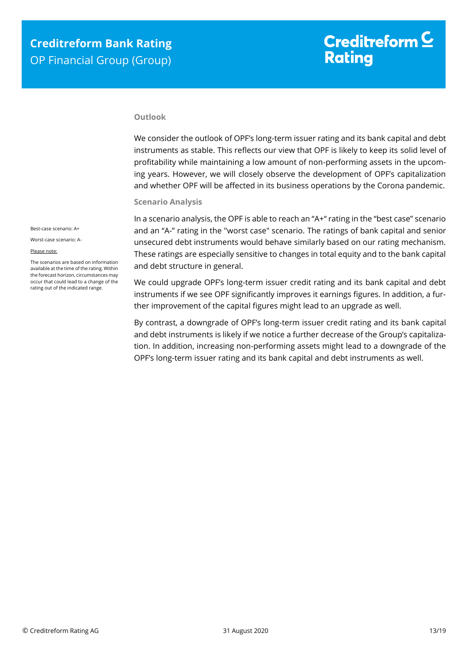#### **Outlook**

We consider the outlook of OPF's long-term issuer rating and its bank capital and debt instruments as stable. This reflects our view that OPF is likely to keep its solid level of profitability while maintaining a low amount of non-performing assets in the upcoming years. However, we will closely observe the development of OPF's capitalization and whether OPF will be affected in its business operations by the Corona pandemic.

#### **Scenario Analysis**

In a scenario analysis, the OPF is able to reach an "A+" rating in the "best case" scenario and an "A-" rating in the "worst case" scenario. The ratings of bank capital and senior unsecured debt instruments would behave similarly based on our rating mechanism. These ratings are especially sensitive to changes in total equity and to the bank capital and debt structure in general.

We could upgrade OPF's long-term issuer credit rating and its bank capital and debt instruments if we see OPF significantly improves it earnings figures. In addition, a further improvement of the capital figures might lead to an upgrade as well.

By contrast, a downgrade of OPF's long-term issuer credit rating and its bank capital and debt instruments is likely if we notice a further decrease of the Group's capitalization. In addition, increasing non-performing assets might lead to a downgrade of the OPF's long-term issuer rating and its bank capital and debt instruments as well.

Best-case scenario: A+

Worst-case scenario: A-

#### Please note:

The scenarios are based on information available at the time of the rating. Within the forecast horizon, circumstances may occur that could lead to a change of the rating out of the indicated range.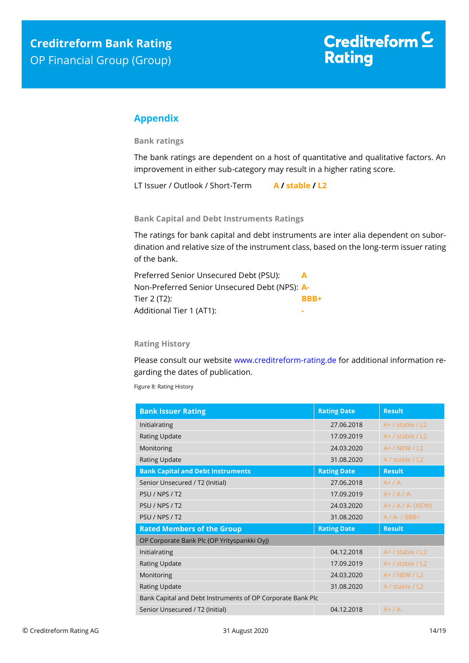## <span id="page-13-0"></span>**Appendix**

**Bank ratings**

The bank ratings are dependent on a host of quantitative and qualitative factors. An improvement in either sub-category may result in a higher rating score.

LT Issuer / Outlook / Short-Term **A / stable / L2**

**Bank Capital and Debt Instruments Ratings**

The ratings for bank capital and debt instruments are inter alia dependent on subordination and relative size of the instrument class, based on the long-term issuer rating of the bank.

| Preferred Senior Unsecured Debt (PSU):        | $\Delta$ |
|-----------------------------------------------|----------|
| Non-Preferred Senior Unsecured Debt (NPS): A- |          |
| Tier 2 (T2):                                  | BBB+     |
| Additional Tier 1 (AT1):                      |          |

### **Rating History**

Please consult our website [www.creditreform-rating.de](http://www.creditreform-rating.de/) for additional information regarding the dates of publication.

Figure 8: Rating History

| <b>Bank Issuer Rating</b>                                  | <b>Rating Date</b> | <b>Result</b>        |  |
|------------------------------------------------------------|--------------------|----------------------|--|
| Initialrating                                              | 27.06.2018         | $A+ /$ stable $/ L2$ |  |
| <b>Rating Update</b>                                       | 17.09.2019         | A+ / stable / L2     |  |
| Monitoring                                                 | 24.03.2020         | $A+ / NEW / L2$      |  |
| Rating Update                                              | 31.08.2020         | A / stable / L2      |  |
| <b>Bank Capital and Debt Instruments</b>                   | <b>Rating Date</b> | <b>Result</b>        |  |
| Senior Unsecured / T2 (Initial)                            | 27.06.2018         | $A+ / A-$            |  |
| PSU / NPS / T2                                             | 17.09.2019         | $A+ / A / A$         |  |
| PSU / NPS / T2                                             | 24.03.2020         | $A+ / A / A$ - (NEW) |  |
| PSU / NPS / T2                                             | 31.08.2020         | $A / A - / BBB +$    |  |
| <b>Rated Members of the Group</b>                          | <b>Rating Date</b> | <b>Result</b>        |  |
| OP Corporate Bank Plc (OP Yrityspankki Oyj)                |                    |                      |  |
| Initialrating                                              | 04.12.2018         | $A+$ / stable / L2   |  |
| <b>Rating Update</b>                                       | 17.09.2019         | $A+$ / stable / L2   |  |
| Monitoring                                                 | 24.03.2020         | A+ / NEW / L2        |  |
| <b>Rating Update</b>                                       | 31.08.2020         | A / stable / L2      |  |
| Bank Capital and Debt Instruments of OP Corporate Bank Plc |                    |                      |  |
| Senior Unsecured / T2 (Initial)                            | 04.12.2018         | $A+ / A-$            |  |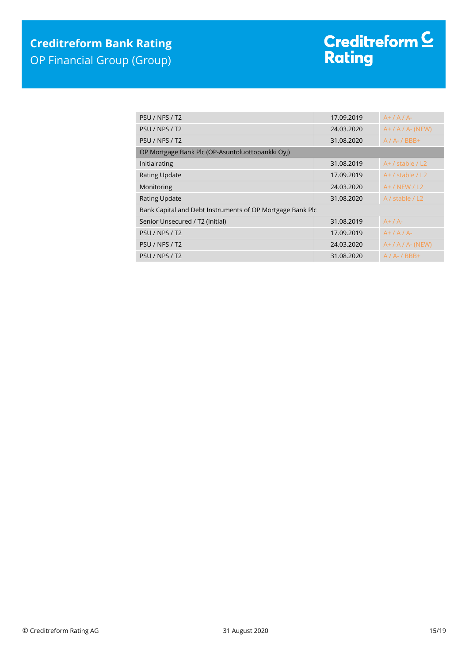| PSU / NPS / T2                                            | 17.09.2019 | $A+ / A / A$         |  |  |  |
|-----------------------------------------------------------|------------|----------------------|--|--|--|
| PSU / NPS / T2                                            | 24.03.2020 | $A+ / A / A$ - (NEW) |  |  |  |
| PSU / NPS / T2                                            | 31.08.2020 | $A / A - / BBB +$    |  |  |  |
| OP Mortgage Bank Plc (OP-Asuntoluottopankki Oyj)          |            |                      |  |  |  |
| Initialrating                                             | 31.08.2019 | $A+$ / stable / L2   |  |  |  |
| <b>Rating Update</b>                                      | 17.09.2019 | $A+$ / stable / L2   |  |  |  |
| Monitoring                                                | 24.03.2020 | $A+ / NEW / L2$      |  |  |  |
| <b>Rating Update</b>                                      | 31.08.2020 | A / stable / L2      |  |  |  |
| Bank Capital and Debt Instruments of OP Mortgage Bank Plc |            |                      |  |  |  |
| Senior Unsecured / T2 (Initial)                           | 31.08.2019 | $A+ / A-$            |  |  |  |
| PSU / NPS / T2                                            | 17.09.2019 | $A+ / A / A$         |  |  |  |
| PSU / NPS / T2                                            | 24.03.2020 | $A+ / A / A$ - (NEW) |  |  |  |
| PSU / NPS / T2                                            | 31.08.2020 | $A / A - / BBB +$    |  |  |  |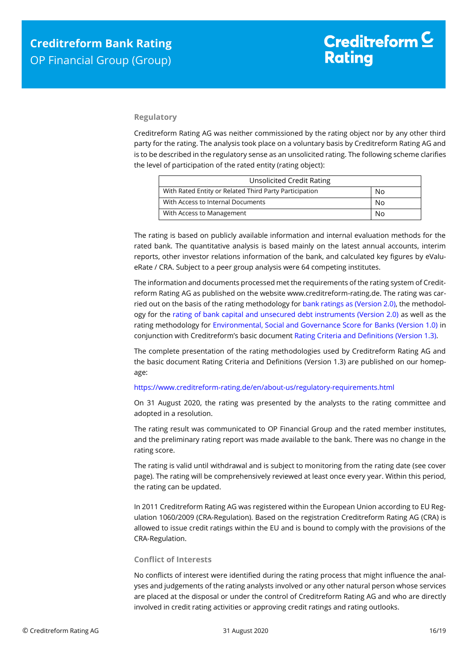#### **Regulatory**

Creditreform Rating AG was neither commissioned by the rating object nor by any other third party for the rating. The analysis took place on a voluntary basis by Creditreform Rating AG and is to be described in the regulatory sense as an unsolicited rating. The following scheme clarifies the level of participation of the rated entity (rating object):

| <b>Unsolicited Credit Rating</b>                             |    |  |
|--------------------------------------------------------------|----|--|
| With Rated Entity or Related Third Party Participation<br>No |    |  |
| With Access to Internal Documents                            | No |  |
| With Access to Management<br>N٥                              |    |  |

The rating is based on publicly available information and internal evaluation methods for the rated bank. The quantitative analysis is based mainly on the latest annual accounts, interim reports, other investor relations information of the bank, and calculated key figures by eValueRate / CRA. Subject to a peer group analysis were 64 competing institutes.

The information and documents processed met the requirements of the rating system of Creditreform Rating AG as published on the website www.creditreform-rating.de. The rating was carried out on the basis of the rating methodology fo[r bank ratings as \(Version 2.0\),](https://www.creditreform-rating.de/en/about-us/regulatory-requirements.html?file=files/content/downloads/Externes%20Rating/Regulatorische%20Anforderungen/EN/Ratingmethodiken%20EN/Rating%20Methodology%20Bank%20Ratings%20v2.0.pdf) the methodology for the [rating of bank capital and unsecured debt instruments \(Version 2.0\)](https://www.creditreform-rating.de/en/about-us/regulatory-requirements.html?file=files/content/downloads/Externes%20Rating/Regulatorische%20Anforderungen/EN/Ratingmethodiken%20EN/Bank%20Capital%20and%20Unsecured%20Debt%20Instruments%20Methodology.pdf) as well as the rating methodology for [Environmental, Social and Governance Score for Banks \(Version 1.0\)](https://www.creditreform-rating.de/en/about-us/regulatory-requirements.html?file=files/content/downloads/Externes%20Rating/Regulatorische%20Anforderungen/EN/Ratingmethodiken%20EN/Rating%20Methodology%20ESG%20v1.0.pdf) in conjunction with Creditreform's basic documen[t Rating Criteria and Definitions \(Version 1.3\).](https://www.creditreform-rating.de/en/about-us/regulatory-requirements.html?file=files/content/downloads/Externes%20Rating/Regulatorische%20Anforderungen/EN/Ratingmethodiken%20EN/CRAG%20Rating%20Criteria%20and%20Definitions.pdf)

The complete presentation of the rating methodologies used by Creditreform Rating AG and the basic document Rating Criteria and Definitions (Version 1.3) are published on our homepage:

#### <https://www.creditreform-rating.de/en/about-us/regulatory-requirements.html>

On 31 August 2020, the rating was presented by the analysts to the rating committee and adopted in a resolution.

The rating result was communicated to OP Financial Group and the rated member institutes, and the preliminary rating report was made available to the bank. There was no change in the rating score.

The rating is valid until withdrawal and is subject to monitoring from the rating date (see cover page). The rating will be comprehensively reviewed at least once every year. Within this period, the rating can be updated.

In 2011 Creditreform Rating AG was registered within the European Union according to EU Regulation 1060/2009 (CRA-Regulation). Based on the registration Creditreform Rating AG (CRA) is allowed to issue credit ratings within the EU and is bound to comply with the provisions of the CRA-Regulation.

#### **Conflict of Interests**

No conflicts of interest were identified during the rating process that might influence the analyses and judgements of the rating analysts involved or any other natural person whose services are placed at the disposal or under the control of Creditreform Rating AG and who are directly involved in credit rating activities or approving credit ratings and rating outlooks.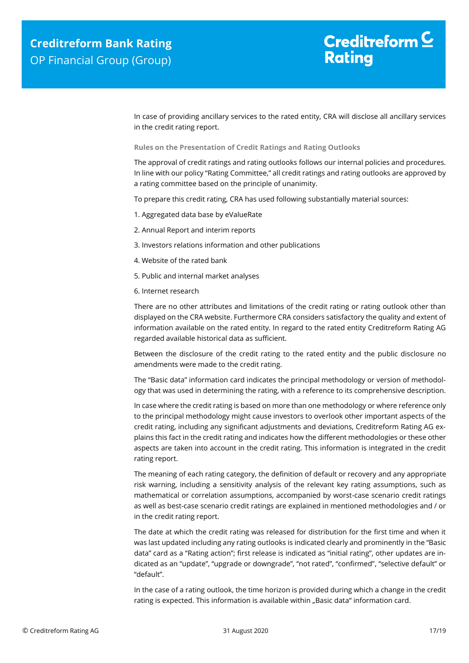In case of providing ancillary services to the rated entity, CRA will disclose all ancillary services in the credit rating report.

**Rules on the Presentation of Credit Ratings and Rating Outlooks**

The approval of credit ratings and rating outlooks follows our internal policies and procedures. In line with our policy "Rating Committee," all credit ratings and rating outlooks are approved by a rating committee based on the principle of unanimity.

To prepare this credit rating, CRA has used following substantially material sources:

- 1. Aggregated data base by eValueRate
- 2. Annual Report and interim reports
- 3. Investors relations information and other publications
- 4. Website of the rated bank
- 5. Public and internal market analyses
- 6. Internet research

There are no other attributes and limitations of the credit rating or rating outlook other than displayed on the CRA website. Furthermore CRA considers satisfactory the quality and extent of information available on the rated entity. In regard to the rated entity Creditreform Rating AG regarded available historical data as sufficient.

Between the disclosure of the credit rating to the rated entity and the public disclosure no amendments were made to the credit rating.

The "Basic data" information card indicates the principal methodology or version of methodology that was used in determining the rating, with a reference to its comprehensive description.

In case where the credit rating is based on more than one methodology or where reference only to the principal methodology might cause investors to overlook other important aspects of the credit rating, including any significant adjustments and deviations, Creditreform Rating AG explains this fact in the credit rating and indicates how the different methodologies or these other aspects are taken into account in the credit rating. This information is integrated in the credit rating report.

The meaning of each rating category, the definition of default or recovery and any appropriate risk warning, including a sensitivity analysis of the relevant key rating assumptions, such as mathematical or correlation assumptions, accompanied by worst-case scenario credit ratings as well as best-case scenario credit ratings are explained in mentioned methodologies and / or in the credit rating report.

The date at which the credit rating was released for distribution for the first time and when it was last updated including any rating outlooks is indicated clearly and prominently in the "Basic data" card as a "Rating action"; first release is indicated as "initial rating", other updates are indicated as an "update", "upgrade or downgrade", "not rated", "confirmed", "selective default" or "default".

In the case of a rating outlook, the time horizon is provided during which a change in the credit rating is expected. This information is available within "Basic data" information card.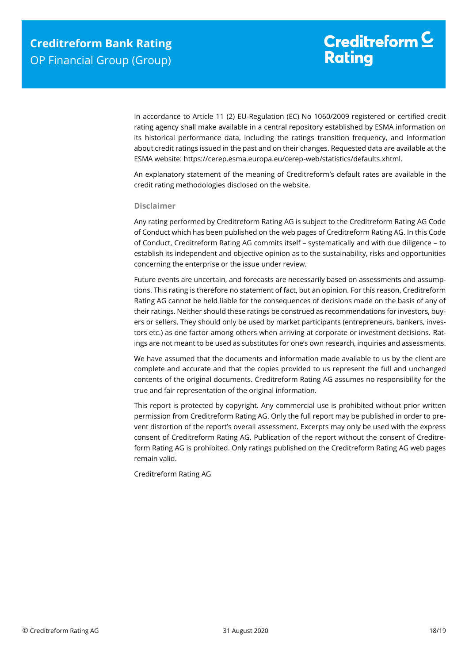In accordance to Article 11 (2) EU-Regulation (EC) No 1060/2009 registered or certified credit rating agency shall make available in a central repository established by ESMA information on its historical performance data, including the ratings transition frequency, and information about credit ratings issued in the past and on their changes. Requested data are available at the ESMA website: https://cerep.esma.europa.eu/cerep-web/statistics/defaults.xhtml.

An explanatory statement of the meaning of Creditreform's default rates are available in the credit rating methodologies disclosed on the website.

#### **Disclaimer**

Any rating performed by Creditreform Rating AG is subject to the Creditreform Rating AG Code of Conduct which has been published on the web pages of Creditreform Rating AG. In this Code of Conduct, Creditreform Rating AG commits itself – systematically and with due diligence – to establish its independent and objective opinion as to the sustainability, risks and opportunities concerning the enterprise or the issue under review.

Future events are uncertain, and forecasts are necessarily based on assessments and assumptions. This rating is therefore no statement of fact, but an opinion. For this reason, Creditreform Rating AG cannot be held liable for the consequences of decisions made on the basis of any of their ratings. Neither should these ratings be construed as recommendations for investors, buyers or sellers. They should only be used by market participants (entrepreneurs, bankers, investors etc.) as one factor among others when arriving at corporate or investment decisions. Ratings are not meant to be used as substitutes for one's own research, inquiries and assessments.

We have assumed that the documents and information made available to us by the client are complete and accurate and that the copies provided to us represent the full and unchanged contents of the original documents. Creditreform Rating AG assumes no responsibility for the true and fair representation of the original information.

This report is protected by copyright. Any commercial use is prohibited without prior written permission from Creditreform Rating AG. Only the full report may be published in order to prevent distortion of the report's overall assessment. Excerpts may only be used with the express consent of Creditreform Rating AG. Publication of the report without the consent of Creditreform Rating AG is prohibited. Only ratings published on the Creditreform Rating AG web pages remain valid.

Creditreform Rating AG